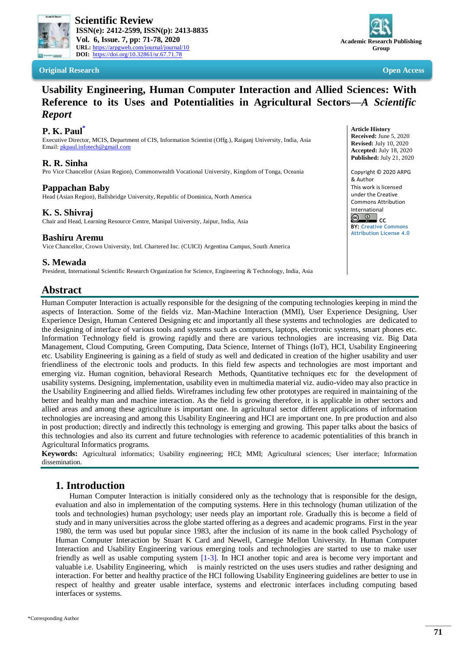

 **Scientific Review ISSN(e): 2412-2599, ISSN(p): 2413-8835 Vol. 6, Issue. 7, pp: 71-78, 2020 URL:** <https://arpgweb.com/journal/journal/10> **DOI:** <https://doi.org/10.32861/sr.67.71.78>

**Original Research Open Access**



# **Usability Engineering, Human Computer Interaction and Allied Sciences: With Reference to its Uses and Potentialities in Agricultural Sectors—***A Scientific Report*

## **P. K. Paul[\\*](#page-0-0)**

Executive Director, MCIS, Department of CIS, Information Scientist (Offg.), Raiganj University, India, Asia Email[: pkpaul.infotech@gmail.com](mailto:pkpaul.infotech@gmail.com)

## **R. R. Sinha**

Pro Vice Chancellor (Asian Region), Commonwealth Vocational University, Kingdom of Tonga, Oceania

### **Pappachan Baby**

Head (Asian Region), Ballsbridge University, Republic of Dominica, North America

## **K. S. Shivraj**

Chair and Head, Learning Resource Centre, Manipal University, Jaipur, India, Asia

## **Bashiru Aremu**

Vice Chancellor, Crown University, Intl. Chartered Inc. (CUICI) Argentina Campus, South America

#### **Article History Received:** June 5, 2020 **Revised:** July 10, 2020 **Accepted:** July 18, 2020 **Published:** July 21, 2020

Copyright © 2020 ARPG & Author This work is licensed under the Creative Commons Attribution International **C** 

**BY: [Creative Commons](https://creativecommons.org/licenses/by/4.0/)  [Attribution License 4.0](https://creativecommons.org/licenses/by/4.0/)**

# **S. Mewada**

President, International Scientific Research Organization for Science, Engineering & Technology, India, Asia

# **Abstract**

Human Computer Interaction is actually responsible for the designing of the computing technologies keeping in mind the aspects of Interaction. Some of the fields viz. Man-Machine Interaction (MMI), User Experience Designing, User Experience Design, Human Centered Designing etc and importantly all these systems and technologies are dedicated to the designing of interface of various tools and systems such as computers, laptops, electronic systems, smart phones etc. Information Technology field is growing rapidly and there are various technologies are increasing viz. Big Data Management, Cloud Computing, Green Computing, Data Science, Internet of Things (IoT), HCI, Usability Engineering etc. Usability Engineering is gaining as a field of study as well and dedicated in creation of the higher usability and user friendliness of the electronic tools and products. In this field few aspects and technologies are most important and emerging viz. Human cognition, behavioral Research Methods, Quantitative techniques etc for the development of usability systems. Designing, implementation, usability even in multimedia material viz. audio-video may also practice in the Usability Engineering and allied fields. Wireframes including few other prototypes are required in maintaining of the better and healthy man and machine interaction. As the field is growing therefore, it is applicable in other sectors and allied areas and among these agriculture is important one. In agricultural sector different applications of information technologies are increasing and among this Usability Engineering and HCI are important one. In pre production and also in post production; directly and indirectly this technology is emerging and growing. This paper talks about the basics of this technologies and also its current and future technologies with reference to academic potentialities of this branch in Agricultural Informatics programs.

**Keywords:** Agricultural informatics; Usability engineering; HCI; MMI; Agricultural sciences; User interface; Information dissemination.

# **1. Introduction**

<span id="page-0-0"></span>Human Computer Interaction is initially considered only as the technology that is responsible for the design, evaluation and also in implementation of the computing systems. Here in this technology (human utilization of the tools and technologies) human psychology; user needs play an important role. Gradually this is become a field of study and in many universities across the globe started offering as a degrees and academic programs. First in the year 1980, the term was used but popular since 1983, after the inclusion of its name in the book called Psychology of Human Computer Interaction by Stuart K Card and Newell, Carnegie Mellon University. In Human Computer Interaction and Usability Engineering various emerging tools and technologies are started to use to make user friendly as well as usable computing system [\[1-3\]](#page-6-0). In HCI another topic and area is become very important and valuable i.e. Usability Engineering, which is mainly restricted on the uses users studies and rather designing and interaction. For better and healthy practice of the HCI following Usability Engineering guidelines are better to use in respect of healthy and greater usable interface, systems and electronic interfaces including computing based interfaces or systems.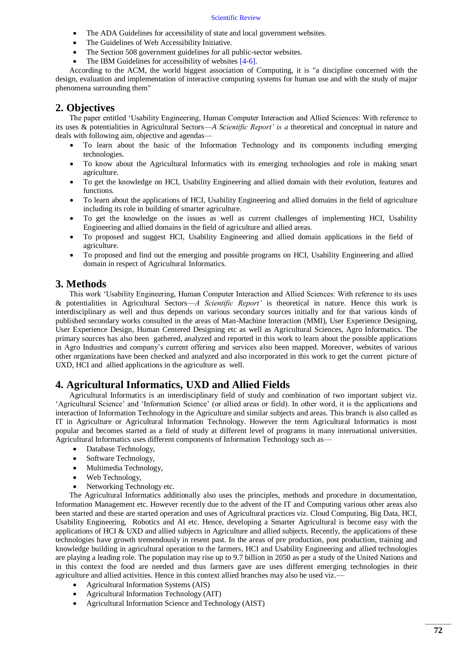- The ADA Guidelines for accessibility of state and local government websites.
- The Guidelines of Web Accessibility Initiative.
- The Section 508 government guidelines for all public-sector websites.
- The IBM Guidelines for accessibility of websites [\[4-6\]](#page-6-1).

According to the ACM, the world biggest association of Computing, it is "a discipline concerned with the design, evaluation and implementation of interactive computing systems for human use and with the study of major phenomena surrounding them"

# **2. Objectives**

The paper entitled 'Usability Engineering, Human Computer Interaction and Allied Sciences: With reference to its uses & potentialities in Agricultural Sectors—*A Scientific Report' is a* theoretical and conceptual in nature and deals with following aim, objective and agendas—

- To learn about the basic of the Information Technology and its components including emerging technologies.
- To know about the Agricultural Informatics with its emerging technologies and role in making smart agriculture.
- To get the knowledge on HCI, Usability Engineering and allied domain with their evolution, features and functions.
- To learn about the applications of HCI, Usability Engineering and allied domains in the field of agriculture including its role in building of smarter agriculture.
- To get the knowledge on the issues as well as current challenges of implementing HCI, Usability Engineering and allied domains in the field of agriculture and allied areas.
- To proposed and suggest HCI, Usability Engineering and allied domain applications in the field of agriculture.
- To proposed and find out the emerging and possible programs on HCI, Usability Engineering and allied domain in respect of Agricultural Informatics.

## **3. Methods**

This work 'Usability Engineering, Human Computer Interaction and Allied Sciences: With reference to its uses & potentialities in Agricultural Sectors—*A Scientific Report'* is theoretical in nature. Hence this work is interdisciplinary as well and thus depends on various secondary sources initially and for that various kinds of published secondary works consulted in the areas of Man-Machine Interaction (MMI), User Experience Designing, User Experience Design, Human Centered Designing etc as well as Agricultural Sciences, Agro Informatics. The primary sources has also been gathered, analyzed and reported in this work to learn about the possible applications in Agro Industries and company's current offering and services also been mapped. Moreover, websites of various other organizations have been checked and analyzed and also incorporated in this work to get the current picture of UXD, HCI and allied applications in the agriculture as well.

# **4. Agricultural Informatics, UXD and Allied Fields**

Agricultural Informatics is an interdisciplinary field of study and combination of two important subject viz. 'Agricultural Science' and 'Information Science' (or allied areas or field). In other word, it is the applications and interaction of Information Technology in the Agriculture and similar subjects and areas. This branch is also called as IT in Agriculture or Agricultural Information Technology. However the term Agricultural Informatics is most popular and becomes started as a field of study at different level of programs in many international universities. Agricultural Informatics uses different components of Information Technology such as—

- Database Technology,
- Software Technology,
- Multimedia Technology,
- Web Technology,
- Networking Technology etc.

The Agricultural Informatics additionally also uses the principles, methods and procedure in documentation, Information Management etc. However recently due to the advent of the IT and Computing various other areas also been started and these are started operation and uses of Agricultural practices viz. Cloud Computing, Big Data, HCI, Usability Engineering, Robotics and AI etc. Hence, developing a Smarter Agricultural is become easy with the applications of HCI  $\&$  UXD and allied subjects in Agriculture and allied subjects. Recently, the applications of these technologies have growth tremendously in resent past. In the areas of pre production, post production, training and knowledge building in agricultural operation to the farmers, HCI and Usability Engineering and allied technologies are playing a leading role. The population may rise up to 9.7 billion in 2050 as per a study of the United Nations and in this context the food are needed and thus farmers gave are uses different emerging technologies in their agriculture and allied activities. Hence in this context allied branches may also be used viz.—

- Agricultural Information Systems (AIS)
- Agricultural Information Technology (AIT)
- Agricultural Information Science and Technology (AIST)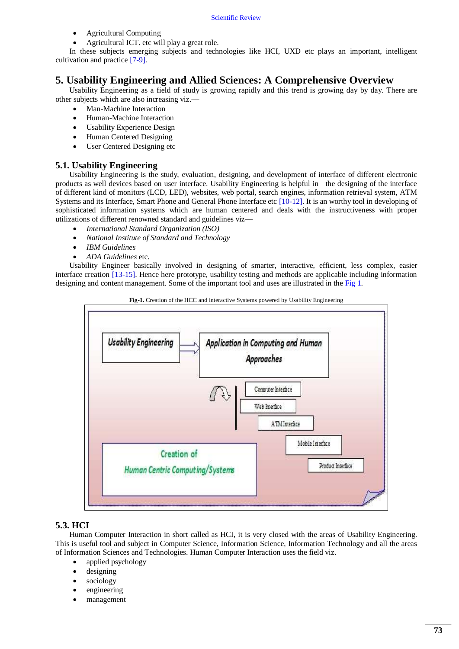- Agricultural Computing
- Agricultural ICT. etc will play a great role.

In these subjects emerging subjects and technologies like HCI, UXD etc plays an important, intelligent cultivation and practice [\[7-9\]](#page-6-2).

# **5. Usability Engineering and Allied Sciences: A Comprehensive Overview**

Usability Engineering as a field of study is growing rapidly and this trend is growing day by day. There are other subjects which are also increasing viz.—

- Man-Machine Interaction
- Human-Machine Interaction
- Usability Experience Design
- Human Centered Designing
- User Centered Designing etc

### **5.1. Usability Engineering**

Usability Engineering is the study, evaluation, designing, and development of interface of different electronic products as well devices based on user interface. Usability Engineering is helpful in the designing of the interface of different kind of monitors (LCD, LED), websites, web portal, search engines, information retrieval system, ATM Systems and its Interface, Smart Phone and General Phone Interface etc [\[10-12\]](#page-6-3). It is an worthy tool in developing of sophisticated information systems which are human centered and deals with the instructiveness with proper utilizations of different renowned standard and guidelines viz—

- *International Standard Organization (ISO)*
- *National Institute of Standard and Technology*
- *IBM Guidelines*
- *ADA Guidelines* etc.

Usability Engineer basically involved in designing of smarter, interactive, efficient, less complex, easier interface creation [\[13-15\]](#page-7-0). Hence here prototype, usability testing and methods are applicable including information designing and content management. Some of the important tool and uses are illustrated in th[e Fig](#page-2-0) 1.

<span id="page-2-0"></span>



### **5.3. HCI**

Human Computer Interaction in short called as HCI, it is very closed with the areas of Usability Engineering. This is useful tool and subject in Computer Science, Information Science, Information Technology and all the areas of Information Sciences and Technologies. Human Computer Interaction uses the field viz.

- applied psychology
- designing
- sociology
- engineering
- management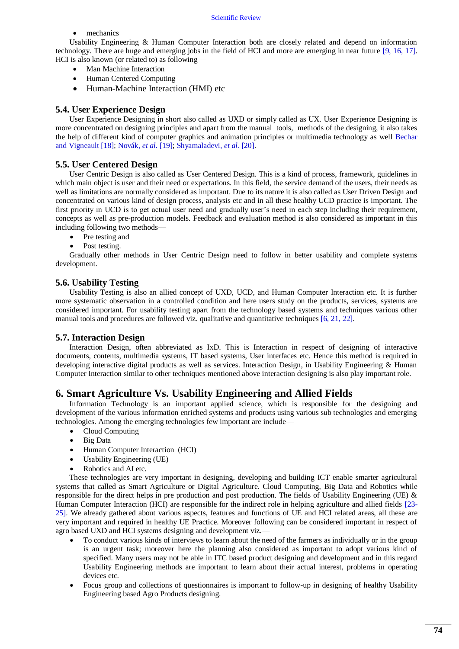• mechanics

Usability Engineering & Human Computer Interaction both are closely related and depend on information technology. There are huge and emerging jobs in the field of HCI and more are emerging in near future [\[9,](#page-6-4) [16,](#page-7-1) [17\]](#page-7-2). HCI is also known (or related to) as following—

- Man Machine Interaction
- Human Centered Computing
- Human-Machine Interaction (HMI) etc

### **5.4. User Experience Design**

User Experience Designing in short also called as UXD or simply called as UX. User Experience Designing is more concentrated on designing principles and apart from the manual tools, methods of the designing, it also takes the help of different kind of computer graphics and animation principles or multimedia technology as well [Bechar](#page-7-3)  and Vigneault [18]; [Novák](#page-7-4)*, et al.* [19]; [Shyamaladevi](#page-7-5)*, et al.* [20].

### **5.5. User Centered Design**

User Centric Design is also called as User Centered Design. This is a kind of process, framework, guidelines in which main object is user and their need or expectations. In this field, the service demand of the users, their needs as well as limitations are normally considered as important. Due to its nature it is also called as User Driven Design and concentrated on various kind of design process, analysis etc and in all these healthy UCD practice is important. The first priority in UCD is to get actual user need and gradually user's need in each step including their requirement, concepts as well as pre-production models. Feedback and evaluation method is also considered as important in this including following two methods—

- Pre testing and
- Post testing.

Gradually other methods in User Centric Design need to follow in better usability and complete systems development.

### **5.6. Usability Testing**

Usability Testing is also an allied concept of UXD, UCD, and Human Computer Interaction etc. It is further more systematic observation in a controlled condition and here users study on the products, services, systems are considered important. For usability testing apart from the technology based systems and techniques various other manual tools and procedures are followed viz. qualitative and quantitative techniques [\[6,](#page-6-5) [21,](#page-7-6) [22\]](#page-7-7).

### **5.7. Interaction Design**

Interaction Design, often abbreviated as IxD. This is Interaction in respect of designing of interactive documents, contents, multimedia systems, IT based systems, User interfaces etc. Hence this method is required in developing interactive digital products as well as services. Interaction Design, in Usability Engineering & Human Computer Interaction similar to other techniques mentioned above interaction designing is also play important role.

## **6. Smart Agriculture Vs. Usability Engineering and Allied Fields**

Information Technology is an important applied science, which is responsible for the designing and development of the various information enriched systems and products using various sub technologies and emerging technologies. Among the emerging technologies few important are include—

- Cloud Computing
- Big Data
- Human Computer Interaction (HCI)
- Usability Engineering (UE)
- Robotics and AI etc.

These technologies are very important in designing, developing and building ICT enable smarter agricultural systems that called as Smart Agriculture or Digital Agriculture. Cloud Computing, Big Data and Robotics while responsible for the direct helps in pre production and post production. The fields of Usability Engineering (UE) & Human Computer Interaction (HCI) are responsible for the indirect role in helping agriculture and allied fields [\[23-](#page-7-8) [25\]](#page-7-8). We already gathered about various aspects, features and functions of UE and HCI related areas, all these are very important and required in healthy UE Practice. Moreover following can be considered important in respect of agro based UXD and HCI systems designing and development viz.—

- To conduct various kinds of interviews to learn about the need of the farmers as individually or in the group is an urgent task; moreover here the planning also considered as important to adopt various kind of specified. Many users may not be able in ITC based product designing and development and in this regard Usability Engineering methods are important to learn about their actual interest, problems in operating devices etc.
- Focus group and collections of questionnaires is important to follow-up in designing of healthy Usability Engineering based Agro Products designing.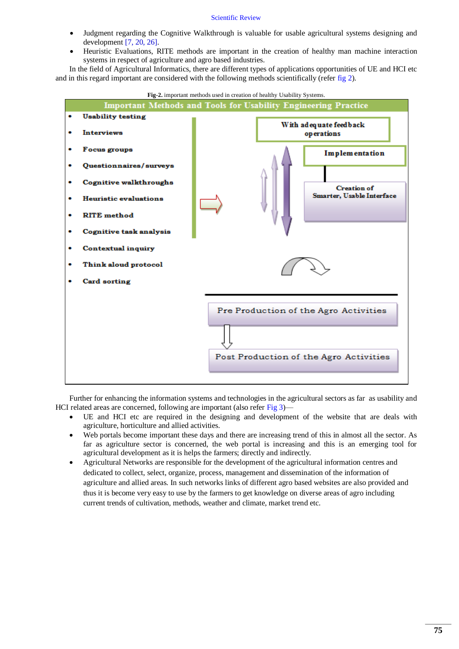- Judgment regarding the Cognitive Walkthrough is valuable for usable agricultural systems designing and development [\[7,](#page-6-2) [20,](#page-7-5) [26\]](#page-7-9).
- Heuristic Evaluations, RITE methods are important in the creation of healthy man machine interaction systems in respect of agriculture and agro based industries.

In the field of Agricultural Informatics, there are different types of applications opportunities of UE and HCI etc and in this regard important are considered with the following methods scientifically (refer [fig](#page-4-0) 2).

<span id="page-4-0"></span>

Further for enhancing the information systems and technologies in the agricultural sectors as far as usability and HCI related areas are concerned, following are important (also refer [Fig](#page-5-0) 3)—

- UE and HCI etc are required in the designing and development of the website that are deals with agriculture, horticulture and allied activities.
- Web portals become important these days and there are increasing trend of this in almost all the sector. As far as agriculture sector is concerned, the web portal is increasing and this is an emerging tool for agricultural development as it is helps the farmers; directly and indirectly.
- Agricultural Networks are responsible for the development of the agricultural information centres and dedicated to collect, select, organize, process, management and dissemination of the information of agriculture and allied areas. In such networks links of different agro based websites are also provided and thus it is become very easy to use by the farmers to get knowledge on diverse areas of agro including current trends of cultivation, methods, weather and climate, market trend etc.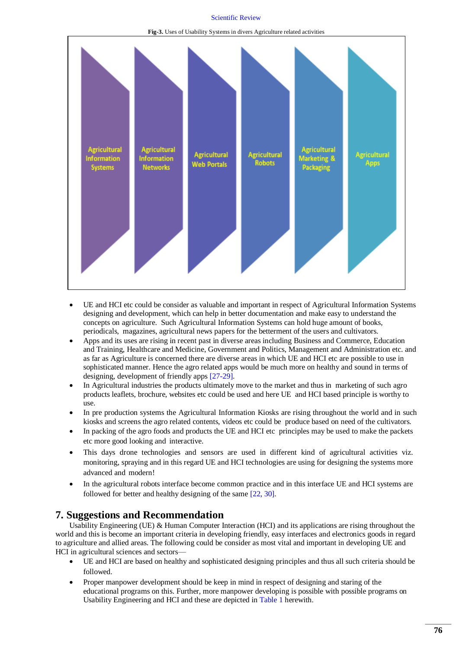**Fig-3.** Uses of Usability Systems in divers Agriculture related activities

<span id="page-5-0"></span>

- UE and HCI etc could be consider as valuable and important in respect of Agricultural Information Systems designing and development, which can help in better documentation and make easy to understand the concepts on agriculture. Such Agricultural Information Systems can hold huge amount of books, periodicals, magazines, agricultural news papers for the betterment of the users and cultivators.
- Apps and its uses are rising in recent past in diverse areas including Business and Commerce, Education and Training, Healthcare and Medicine, Government and Politics, Management and Administration etc. and as far as Agriculture is concerned there are diverse areas in which UE and HCI etc are possible to use in sophisticated manner. Hence the agro related apps would be much more on healthy and sound in terms of designing, development of friendly apps [\[27-29\]](#page-7-10).
- In Agricultural industries the products ultimately move to the market and thus in marketing of such agro products leaflets, brochure, websites etc could be used and here UE and HCI based principle is worthy to use.
- In pre production systems the Agricultural Information Kiosks are rising throughout the world and in such kiosks and screens the agro related contents, videos etc could be produce based on need of the cultivators.
- In packing of the agro foods and products the UE and HCI etc principles may be used to make the packets etc more good looking and interactive.
- This days drone technologies and sensors are used in different kind of agricultural activities viz. monitoring, spraying and in this regard UE and HCI technologies are using for designing the systems more advanced and modern!
- In the agricultural robots interface become common practice and in this interface UE and HCI systems are followed for better and healthy designing of the same [\[22,](#page-7-7) [30\]](#page-7-11).

# **7. Suggestions and Recommendation**

Usability Engineering (UE) & Human Computer Interaction (HCI) and its applications are rising throughout the world and this is become an important criteria in developing friendly, easy interfaces and electronics goods in regard to agriculture and allied areas. The following could be consider as most vital and important in developing UE and HCI in agricultural sciences and sectors—

- UE and HCI are based on healthy and sophisticated designing principles and thus all such criteria should be followed.
- Proper manpower development should be keep in mind in respect of designing and staring of the educational programs on this. Further, more manpower developing is possible with possible programs on Usability Engineering and HCI and these are depicted i[n Table](#page-6-6) 1 herewith.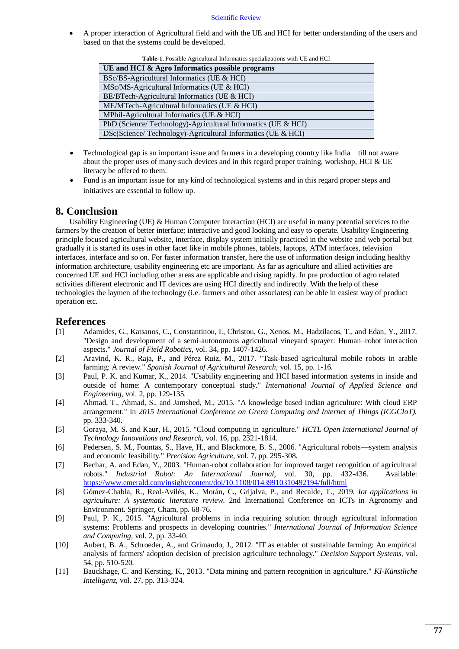<span id="page-6-6"></span> A proper interaction of Agricultural field and with the UE and HCI for better understanding of the users and based on that the systems could be developed.

| was in college, spreaded informately operational with the and free |
|--------------------------------------------------------------------|
| UE and HCI & Agro Informatics possible programs                    |
| BSc/BS-Agricultural Informatics (UE & HCI)                         |
| $MSC/MS-Agricultural Informatics (UE & HCI)$                       |
| $BE/BTech-Agricultural Informatics (UE & HCI)$                     |
| ME/MTech-Agricultural Informatics (UE & HCI)                       |
| MPhil-Agricultural Informatics (UE & HCI)                          |
| PhD (Science/Technology)-Agricultural Informatics (UE & HCI)       |
| DSc(Science/Technology)-Agricultural Informatics (UE & HCI)        |

**Table-1.** Possible Agricultural Informatics specializations with UE and HCI

- Technological gap is an important issue and farmers in a developing country like India till not aware about the proper uses of many such devices and in this regard proper training, workshop, HCI & UE literacy be offered to them.
- Fund is an important issue for any kind of technological systems and in this regard proper steps and initiatives are essential to follow up.

## **8. Conclusion**

Usability Engineering (UE) & Human Computer Interaction (HCI) are useful in many potential services to the farmers by the creation of better interface; interactive and good looking and easy to operate. Usability Engineering principle focused agricultural website, interface, display system initially practiced in the website and web portal but gradually it is started its uses in other facet like in mobile phones, tablets, laptops, ATM interfaces, television interfaces, interface and so on. For faster information transfer, here the use of information design including healthy information architecture, usability engineering etc are important. As far as agriculture and allied activities are concerned UE and HCI including other areas are applicable and rising rapidly. In pre production of agro related activities different electronic and IT devices are using HCI directly and indirectly. With the help of these technologies the laymen of the technology (i.e. farmers and other associates) can be able in easiest way of product operation etc.

## **References**

- <span id="page-6-0"></span>[1] Adamides, G., Katsanos, C., Constantinou, I., Christou, G., Xenos, M., Hadzilacos, T., and Edan, Y., 2017. "Design and development of a semi‐autonomous agricultural vineyard sprayer: Human–robot interaction aspects." *Journal of Field Robotics,* vol. 34, pp. 1407-1426.
- [2] Aravind, K. R., Raja, P., and Pérez Ruiz, M., 2017. "Task-based agricultural mobile robots in arable farming: A review." *Spanish Journal of Agricultural Research,* vol. 15, pp. 1-16.
- [3] Paul, P. K. and Kumar, K., 2014. "Usability engineering and HCI based information systems in inside and outside of home: A contemporary conceptual study." *International Journal of Applied Science and Engineering,* vol. 2, pp. 129-135.
- <span id="page-6-1"></span>[4] Ahmad, T., Ahmad, S., and Jamshed, M., 2015. "A knowledge based Indian agriculture: With cloud ERP arrangement." In *2015 International Conference on Green Computing and Internet of Things (ICGCIoT).* pp. 333-340.
- [5] Goraya, M. S. and Kaur, H., 2015. "Cloud computing in agriculture." *HCTL Open International Journal of Technology Innovations and Research,* vol. 16, pp. 2321-1814.
- <span id="page-6-5"></span>[6] Pedersen, S. M., Fountas, S., Have, H., and Blackmore, B. S., 2006. "Agricultural robots—system analysis and economic feasibility." *Precision Agriculture,* vol. 7, pp. 295-308.
- <span id="page-6-2"></span>[7] Bechar, A. and Edan, Y., 2003. "Human-robot collaboration for improved target recognition of agricultural robots." *Industrial Robot: An International Journal,* vol. 30, pp. 432-436. Available: [https://www.emerald.com/insight/content/doi/10.1108/01439910310492194/full/html](http://www.emerald.com/insight/content/doi/10.1108/01439910310492194/full/html)
- [8] Gómez-Chabla, R., Real-Avilés, K., Morán, C., Grijalva, P., and Recalde, T., 2019. *Iot applications in agriculture: A systematic literature review*. 2nd International Conference on ICTs in Agronomy and Environment. Springer, Cham, pp. 68-76.
- <span id="page-6-4"></span>[9] Paul, P. K., 2015. "Agricultural problems in india requiring solution through agricultural information systems: Problems and prospects in developing countries." *International Journal of Information Science and Computing,* vol. 2, pp. 33-40.
- <span id="page-6-3"></span>[10] Aubert, B. A., Schroeder, A., and Grimaudo, J., 2012. "IT as enabler of sustainable farming: An empirical analysis of farmers' adoption decision of precision agriculture technology." *Decision Support Systems,* vol. 54, pp. 510-520.
- [11] Bauckhage, C. and Kersting, K., 2013. "Data mining and pattern recognition in agriculture." *KI-Künstliche Intelligenz,* vol. 27, pp. 313-324.